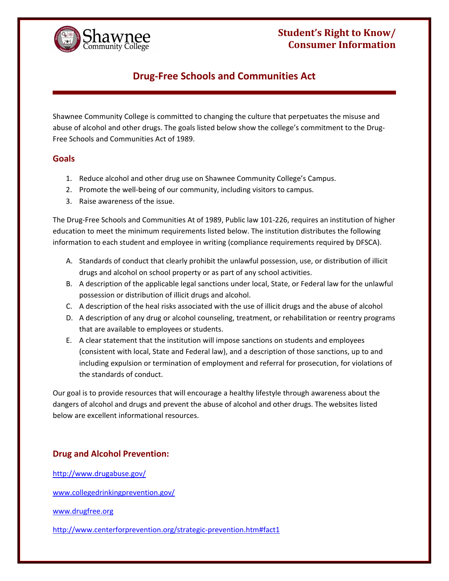## **Student's Right to Know/ Consumer Information**



# **Drug‐Free Schools and Communities Act**

 Shawnee Community College is committed to changing the culture that perpetuates the misuse and abuse of alcohol and other drugs. The goals listed below show the college's commitment to the Drug‐ Free Schools and Communities Act of 1989.

### **Goals**

- 1. Reduce alcohol and other drug use on Shawnee Community College's Campus.
- 2. Promote the well‐being of our community, including visitors to campus.
- 3. Raise awareness of the issue.

 The Drug‐Free Schools and Communities At of 1989, Public law 101‐226, requires an institution of higher education to meet the minimum requirements listed below. The institution distributes the following information to each student and employee in writing (compliance requirements required by DFSCA).

- A. Standards of conduct that clearly prohibit the unlawful possession, use, or distribution of illicit drugs and alcohol on school property or as part of any school activities.
- B. A description of the applicable legal sanctions under local, State, or Federal law for the unlawful possession or distribution of illicit drugs and alcohol.
- C. A description of the heal risks associated with the use of illicit drugs and the abuse of alcohol
- D. A description of any drug or alcohol counseling, treatment, or rehabilitation or reentry programs that are available to employees or students.
- E. A clear statement that the institution will impose sanctions on students and employees (consistent with local, State and Federal law), and a description of those sanctions, up to and including expulsion or termination of employment and referral for prosecution, for violations of the standards of conduct.

 Our goal is to provide resources that will encourage a healthy lifestyle through awareness about the dangers of alcohol and drugs and prevent the abuse of alcohol and other drugs. The websites listed below are excellent informational resources.

### **Drug and Alcohol Prevention:**

http://www.drugabuse.gov/

www.collegedrinkingprevention.gov/

www.drugfree.org

http://www.centerforprevention.org/strategic‐prevention.htm#fact1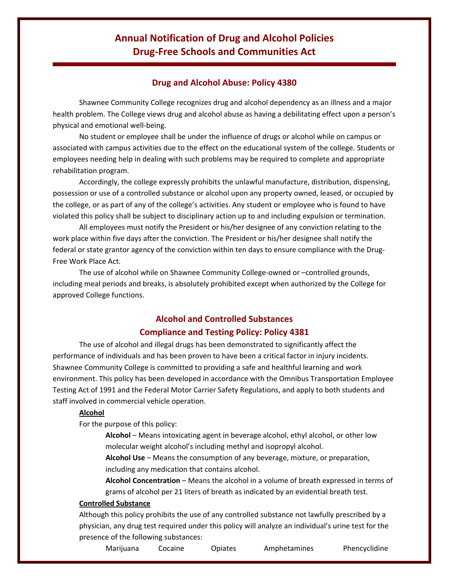## **Annual Notification of Drug and Alcohol Policies Drug‐Free Schools and Communities Act**

### **Drug and Alcohol Abuse: Policy 4380**

 Shawnee Community College recognizes drug and alcohol dependency as an illness and a major health problem. The College views drug and alcohol abuse as having a debilitating effect upon a person's physical and emotional well‐being.

 No student or employee shall be under the influence of drugs or alcohol while on campus or associated with campus activities due to the effect on the educational system of the college. Students or employees needing help in dealing with such problems may be required to complete and appropriate rehabilitation program.

 Accordingly, the college expressly prohibits the unlawful manufacture, distribution, dispensing, possession or use of a controlled substance or alcohol upon any property owned, leased, or occupied by the college, or as part of any of the college's activities. Any student or employee who is found to have violated this policy shall be subject to disciplinary action up to and including expulsion or termination.

 All employees must notify the President or his/her designee of any conviction relating to the work place within five days after the conviction. The President or his/her designee shall notify the federal or state grantor agency of the conviction within ten days to ensure compliance with the Drug‐ Free Work Place Act.

 The use of alcohol while on Shawnee Community College‐owned or –controlled grounds, including meal periods and breaks, is absolutely prohibited except when authorized by the College for approved College functions.

## **Alcohol and Controlled Substances Compliance and Testing Policy: Policy 4381**

 The use of alcohol and illegal drugs has been demonstrated to significantly affect the performance of individuals and has been proven to have been a critical factor in injury incidents. Shawnee Community College is committed to providing a safe and healthful learning and work environment. This policy has been developed in accordance with the Omnibus Transportation Employee Testing Act of 1991 and the Federal Motor Carrier Safety Regulations, and apply to both students and staff involved in commercial vehicle operation.

#### **Alcohol**

For the purpose of this policy:

 **Alcohol** – Means intoxicating agent in beverage alcohol, ethyl alcohol, or other low molecular weight alcohol's including methyl and isopropyl alcohol.

 **Alcohol Use** – Means the consumption of any beverage, mixture, or preparation, including any medication that contains alcohol.

 **Alcohol Concentration** – Means the alcohol in a volume of breath expressed in terms of grams of alcohol per 21 liters of breath as indicated by an evidential breath test.

#### **Controlled Substance**

 Although this policy prohibits the use of any controlled substance not lawfully prescribed by a physician, any drug test required under this policy will analyze an individual's urine test for the presence of the following substances:

Marijuana Cocaine Opiates Amphetamines Phencyclidine